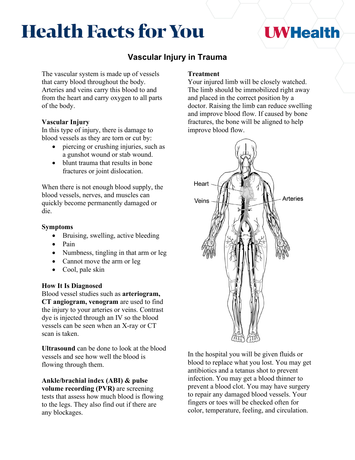# **Health Facts for You**

## **UWHealth**

### **Vascular Injury in Trauma**

The vascular system is made up of vessels that carry blood throughout the body. Arteries and veins carry this blood to and from the heart and carry oxygen to all parts of the body.

#### **Vascular Injury**

In this type of injury, there is damage to blood vessels as they are torn or cut by:

- piercing or crushing injuries, such as a gunshot wound or stab wound.
- blunt trauma that results in bone fractures or joint dislocation.

When there is not enough blood supply, the blood vessels, nerves, and muscles can quickly become permanently damaged or die.

#### **Symptoms**

- Bruising, swelling, active bleeding
- Pain
- Numbness, tingling in that arm or leg
- Cannot move the arm or leg
- Cool, pale skin

#### **How It Is Diagnosed**

Blood vessel studies such as **arteriogram, CT angiogram, venogram** are used to find the injury to your arteries or veins. Contrast dye is injected through an IV so the blood vessels can be seen when an X-ray or CT scan is taken.

**Ultrasound** can be done to look at the blood vessels and see how well the blood is flowing through them.

**Ankle/brachial index (ABI) & pulse volume recording (PVR)** are screening tests that assess how much blood is flowing to the legs. They also find out if there are any blockages.

#### **Treatment**

Your injured limb will be closely watched. The limb should be immobilized right away and placed in the correct position by a doctor. Raising the limb can reduce swelling and improve blood flow. If caused by bone fractures, the bone will be aligned to help improve blood flow.



In the hospital you will be given fluids or blood to replace what you lost. You may get antibiotics and a tetanus shot to prevent infection. You may get a blood thinner to prevent a blood clot. You may have surgery to repair any damaged blood vessels. Your fingers or toes will be checked often for color, temperature, feeling, and circulation.